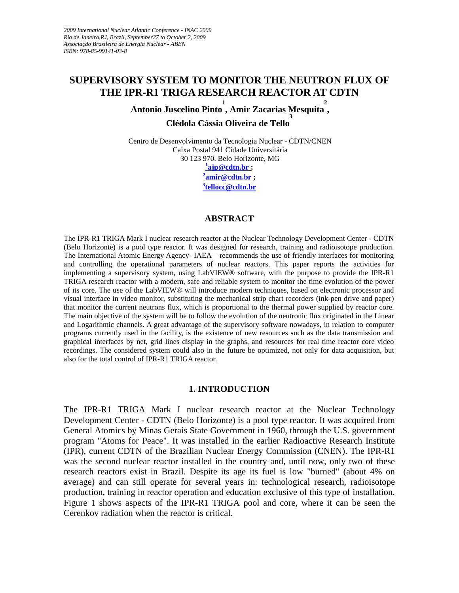# **SUPERVISORY SYSTEM TO MONITOR THE NEUTRON FLUX OF THE IPR-R1 TRIGA RESEARCH REACTOR AT CDTN**

Antonio Juscelino Pinto<sup>1</sup>, Amir Zacarias Mesquita<sup>2</sup>, **Clédola Cássia Oliveira de Tello**

Centro de Desenvolvimento da Tecnologia Nuclear - CDTN/CNEN Caixa Postal 941 Cidade Universitária 30 123 970. Belo Horizonte, MG **[1](mailto:1ajp@cdtn.br) [ajp@cdtn.br](mailto:1ajp@cdtn.br) ; [2](mailto:2amir@cdtn.br) [amir@cdtn.br](mailto:2amir@cdtn.br) ;**

**[3](mailto:3tellocc@cdtn.br) [tellocc@cdtn.br](mailto:3tellocc@cdtn.br)** 

#### **ABSTRACT**

The IPR-R1 TRIGA Mark I nuclear research reactor at the Nuclear Technology Development Center - CDTN (Belo Horizonte) is a pool type reactor. It was designed for research, training and radioisotope production. The International Atomic Energy Agency- IAEA – recommends the use of friendly interfaces for monitoring and controlling the operational parameters of nuclear reactors. This paper reports the activities for implementing a supervisory system, using LabVIEW® software, with the purpose to provide the IPR-R1 TRIGA research reactor with a modern, safe and reliable system to monitor the time evolution of the power of its core. The use of the LabVIEW® will introduce modern techniques, based on electronic processor and visual interface in video monitor, substituting the mechanical strip chart recorders (ink-pen drive and paper) that monitor the current neutrons flux, which is proportional to the thermal power supplied by reactor core. The main objective of the system will be to follow the evolution of the neutronic flux originated in the Linear and Logarithmic channels. A great advantage of the supervisory software nowadays, in relation to computer programs currently used in the facility, is the existence of new resources such as the data transmission and graphical interfaces by net, grid lines display in the graphs, and resources for real time reactor core video recordings. The considered system could also in the future be optimized, not only for data acquisition, but also for the total control of IPR-R1 TRIGA reactor.

#### **1. INTRODUCTION**

The IPR-R1 TRIGA Mark I nuclear research reactor at the Nuclear Technology Development Center - CDTN (Belo Horizonte) is a pool type reactor. It was acquired from General Atomics by Minas Gerais State Government in 1960, through the U.S. government program "Atoms for Peace". It was installed in the earlier Radioactive Research Institute (IPR), current CDTN of the Brazilian Nuclear Energy Commission (CNEN). The IPR-R1 was the second nuclear reactor installed in the country and, until now, only two of these research reactors exist in Brazil. Despite its age its fuel is low "burned" (about 4% on average) and can still operate for several years in: technological research, radioisotope production, training in reactor operation and education exclusive of this type of installation. Figure 1 shows aspects of the IPR-R1 TRIGA pool and core, where it can be seen the Cerenkov radiation when the reactor is critical.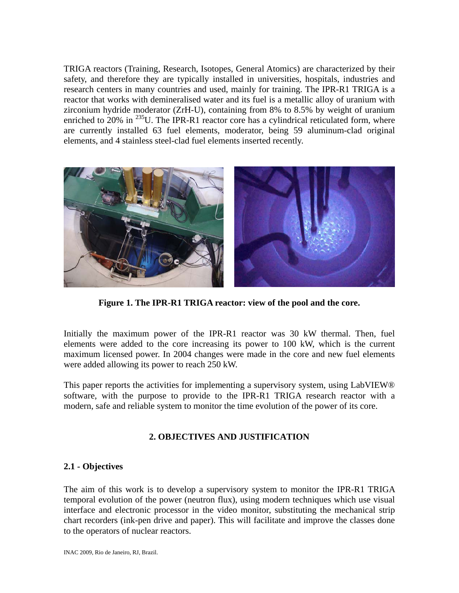TRIGA reactors (Training, Research, Isotopes, General Atomics) are characterized by their safety, and therefore they are typically installed in universities, hospitals, industries and research centers in many countries and used, mainly for training. The IPR-R1 TRIGA is a reactor that works with demineralised water and its fuel is a metallic alloy of uranium with zirconium hydride moderator (ZrH-U), containing from 8% to 8.5% by weight of uranium enriched to  $20\%$  in  $^{235}$ U. The IPR-R1 reactor core has a cylindrical reticulated form, where are currently installed 63 fuel elements, moderator, being 59 aluminum-clad original elements, and 4 stainless steel-clad fuel elements inserted recently.



**Figure 1. The IPR-R1 TRIGA reactor: view of the pool and the core.** 

Initially the maximum power of the IPR-R1 reactor was 30 kW thermal. Then, fuel elements were added to the core increasing its power to 100 kW, which is the current maximum licensed power. In 2004 changes were made in the core and new fuel elements were added allowing its power to reach 250 kW.

This paper reports the activities for implementing a supervisory system, using LabVIEW® software, with the purpose to provide to the IPR-R1 TRIGA research reactor with a modern, safe and reliable system to monitor the time evolution of the power of its core.

## **2. OBJECTIVES AND JUSTIFICATION**

#### **2.1 - Objectives**

The aim of this work is to develop a supervisory system to monitor the IPR-R1 TRIGA temporal evolution of the power (neutron flux), using modern techniques which use visual interface and electronic processor in the video monitor, substituting the mechanical strip chart recorders (ink-pen drive and paper). This will facilitate and improve the classes done to the operators of nuclear reactors.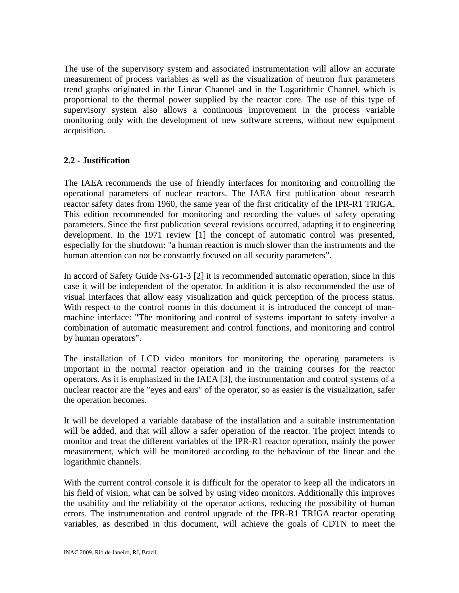The use of the supervisory system and associated instrumentation will allow an accurate measurement of process variables as well as the visualization of neutron flux parameters trend graphs originated in the Linear Channel and in the Logarithmic Channel, which is proportional to the thermal power supplied by the reactor core. The use of this type of supervisory system also allows a continuous improvement in the process variable monitoring only with the development of new software screens, without new equipment acquisition.

#### **2.2 - Justification**

The IAEA recommends the use of friendly interfaces for monitoring and controlling the operational parameters of nuclear reactors. The IAEA first publication about research reactor safety dates from 1960, the same year of the first criticality of the IPR-R1 TRIGA. This edition recommended for monitoring and recording the values of safety operating parameters. Since the first publication several revisions occurred, adapting it to engineering development. In the 1971 review [1] the concept of automatic control was presented, especially for the shutdown: "a human reaction is much slower than the instruments and the human attention can not be constantly focused on all security parameters".

In accord of Safety Guide Ns-G1-3 [2] it is recommended automatic operation, since in this case it will be independent of the operator. In addition it is also recommended the use of visual interfaces that allow easy visualization and quick perception of the process status. With respect to the control rooms in this document it is introduced the concept of manmachine interface: "The monitoring and control of systems important to safety involve a combination of automatic measurement and control functions, and monitoring and control by human operators".

The installation of LCD video monitors for monitoring the operating parameters is important in the normal reactor operation and in the training courses for the reactor operators. As it is emphasized in the IAEA [3], the instrumentation and control systems of a nuclear reactor are the "eyes and ears" of the operator, so as easier is the visualization, safer the operation becomes.

It will be developed a variable database of the installation and a suitable instrumentation will be added, and that will allow a safer operation of the reactor. The project intends to monitor and treat the different variables of the IPR-R1 reactor operation, mainly the power measurement, which will be monitored according to the behaviour of the linear and the logarithmic channels.

With the current control console it is difficult for the operator to keep all the indicators in his field of vision, what can be solved by using video monitors. Additionally this improves the usability and the reliability of the operator actions, reducing the possibility of human errors. The instrumentation and control upgrade of the IPR-R1 TRIGA reactor operating variables, as described in this document, will achieve the goals of CDTN to meet the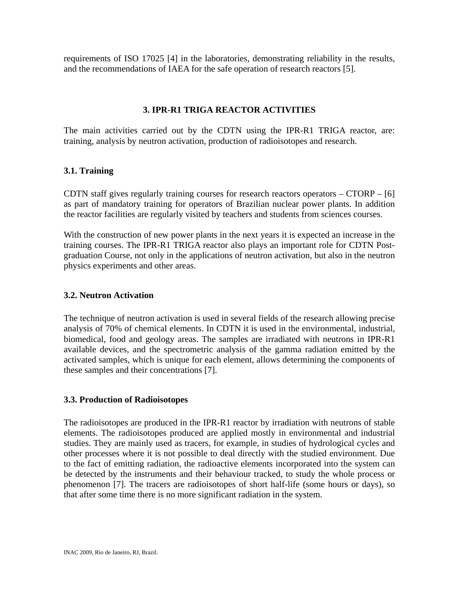requirements of ISO 17025 [4] in the laboratories, demonstrating reliability in the results, and the recommendations of IAEA for the safe operation of research reactors [5].

### **3. IPR-R1 TRIGA REACTOR ACTIVITIES**

The main activities carried out by the CDTN using the IPR-R1 TRIGA reactor, are: training, analysis by neutron activation, production of radioisotopes and research.

#### **3.1. Training**

CDTN staff gives regularly training courses for research reactors operators – CTORP – [6] as part of mandatory training for operators of Brazilian nuclear power plants. In addition the reactor facilities are regularly visited by teachers and students from sciences courses.

With the construction of new power plants in the next years it is expected an increase in the training courses. The IPR-R1 TRIGA reactor also plays an important role for CDTN Postgraduation Course, not only in the applications of neutron activation, but also in the neutron physics experiments and other areas.

#### **3.2. Neutron Activation**

The technique of neutron activation is used in several fields of the research allowing precise analysis of 70% of chemical elements. In CDTN it is used in the environmental, industrial, biomedical, food and geology areas. The samples are irradiated with neutrons in IPR-R1 available devices, and the spectrometric analysis of the gamma radiation emitted by the activated samples, which is unique for each element, allows determining the components of these samples and their concentrations [7].

## **3.3. Production of Radioisotopes**

The radioisotopes are produced in the IPR-R1 reactor by irradiation with neutrons of stable elements. The radioisotopes produced are applied mostly in environmental and industrial studies. They are mainly used as tracers, for example, in studies of hydrological cycles and other processes where it is not possible to deal directly with the studied environment. Due to the fact of emitting radiation, the radioactive elements incorporated into the system can be detected by the instruments and their behaviour tracked, to study the whole process or phenomenon [7]. The tracers are radioisotopes of short half-life (some hours or days), so that after some time there is no more significant radiation in the system.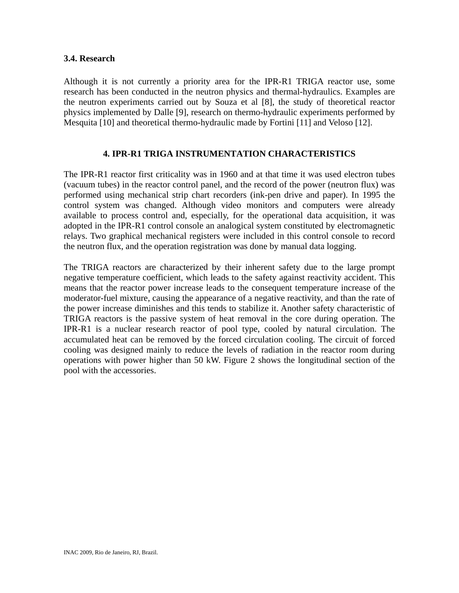#### **3.4. Research**

Although it is not currently a priority area for the IPR-R1 TRIGA reactor use, some research has been conducted in the neutron physics and thermal-hydraulics. Examples are the neutron experiments carried out by Souza et al [8], the study of theoretical reactor physics implemented by Dalle [9], research on thermo-hydraulic experiments performed by Mesquita [10] and theoretical thermo-hydraulic made by Fortini [11] and Veloso [12].

#### **4. IPR-R1 TRIGA INSTRUMENTATION CHARACTERISTICS**

The IPR-R1 reactor first criticality was in 1960 and at that time it was used electron tubes (vacuum tubes) in the reactor control panel, and the record of the power (neutron flux) was performed using mechanical strip chart recorders (ink-pen drive and paper). In 1995 the control system was changed. Although video monitors and computers were already available to process control and, especially, for the operational data acquisition, it was adopted in the IPR-R1 control console an analogical system constituted by electromagnetic relays. Two graphical mechanical registers were included in this control console to record the neutron flux, and the operation registration was done by manual data logging.

The TRIGA reactors are characterized by their inherent safety due to the large prompt negative temperature coefficient, which leads to the safety against reactivity accident. This means that the reactor power increase leads to the consequent temperature increase of the moderator-fuel mixture, causing the appearance of a negative reactivity, and than the rate of the power increase diminishes and this tends to stabilize it. Another safety characteristic of TRIGA reactors is the passive system of heat removal in the core during operation. The IPR-R1 is a nuclear research reactor of pool type, cooled by natural circulation. The accumulated heat can be removed by the forced circulation cooling. The circuit of forced cooling was designed mainly to reduce the levels of radiation in the reactor room during operations with power higher than 50 kW. Figure 2 shows the longitudinal section of the pool with the accessories.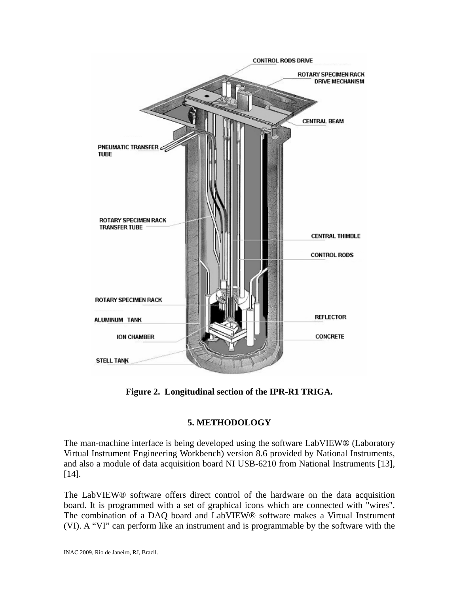

**Figure 2. Longitudinal section of the IPR-R1 TRIGA.** 

## **5. METHODOLOGY**

The man-machine interface is being developed using the software LabVIEW® (Laboratory Virtual Instrument Engineering Workbench) version 8.6 provided by National Instruments, and also a module of data acquisition board NI USB-6210 from National Instruments [13], [14].

The LabVIEW® software offers direct control of the hardware on the data acquisition board. It is programmed with a set of graphical icons which are connected with "wires". The combination of a DAQ board and LabVIEW® software makes a Virtual Instrument (VI). A "VI" can perform like an instrument and is programmable by the software with the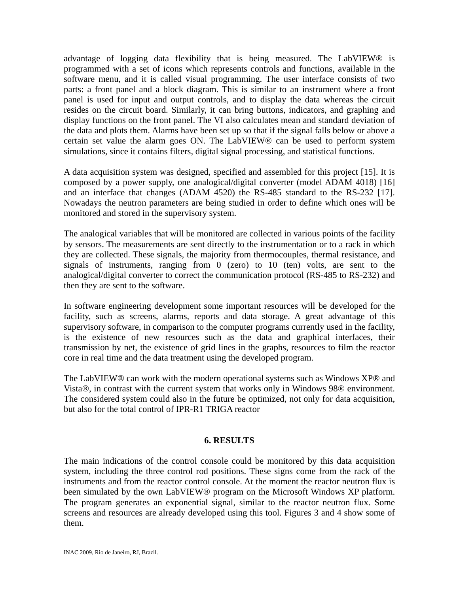advantage of logging data flexibility that is being measured. The LabVIEW® is programmed with a set of icons which represents controls and functions, available in the software menu, and it is called visual programming. The user interface consists of two parts: a front panel and a block diagram. This is similar to an instrument where a front panel is used for input and output controls, and to display the data whereas the circuit resides on the circuit board. Similarly, it can bring buttons, indicators, and graphing and display functions on the front panel. The VI also calculates mean and standard deviation of the data and plots them. Alarms have been set up so that if the signal falls below or above a certain set value the alarm goes ON. The LabVIEW® can be used to perform system simulations, since it contains filters, digital signal processing, and statistical functions.

A data acquisition system was designed, specified and assembled for this project [15]. It is composed by a power supply, one analogical/digital converter (model ADAM 4018) [16] and an interface that changes (ADAM 4520) the RS-485 standard to the RS-232 [17]. Nowadays the neutron parameters are being studied in order to define which ones will be monitored and stored in the supervisory system.

The analogical variables that will be monitored are collected in various points of the facility by sensors. The measurements are sent directly to the instrumentation or to a rack in which they are collected. These signals, the majority from thermocouples, thermal resistance, and signals of instruments, ranging from 0 (zero) to 10 (ten) volts, are sent to the analogical/digital converter to correct the communication protocol (RS-485 to RS-232) and then they are sent to the software.

In software engineering development some important resources will be developed for the facility, such as screens, alarms, reports and data storage. A great advantage of this supervisory software, in comparison to the computer programs currently used in the facility, is the existence of new resources such as the data and graphical interfaces, their transmission by net, the existence of grid lines in the graphs, resources to film the reactor core in real time and the data treatment using the developed program.

The LabVIEW® can work with the modern operational systems such as Windows XP® and Vista®, in contrast with the current system that works only in Windows 98® environment. The considered system could also in the future be optimized, not only for data acquisition, but also for the total control of IPR-R1 TRIGA reactor

## **6. RESULTS**

The main indications of the control console could be monitored by this data acquisition system, including the three control rod positions. These signs come from the rack of the instruments and from the reactor control console. At the moment the reactor neutron flux is been simulated by the own LabVIEW® program on the Microsoft Windows XP platform. The program generates an exponential signal, similar to the reactor neutron flux. Some screens and resources are already developed using this tool. Figures 3 and 4 show some of them.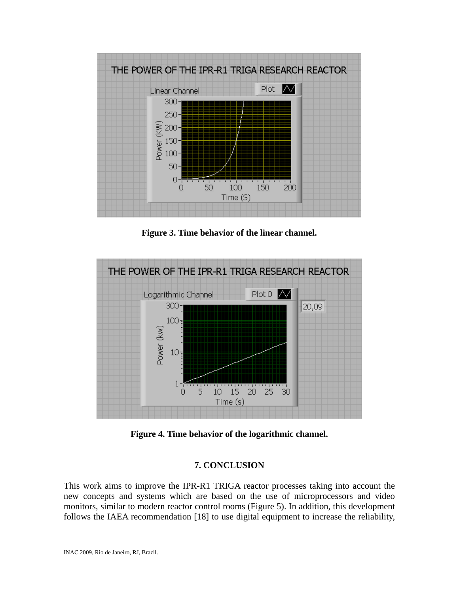

**Figure 3. Time behavior of the linear channel.** 



**Figure 4. Time behavior of the logarithmic channel.** 

## **7. CONCLUSION**

This work aims to improve the IPR-R1 TRIGA reactor processes taking into account the new concepts and systems which are based on the use of microprocessors and video monitors, similar to modern reactor control rooms (Figure 5). In addition, this development follows the IAEA recommendation [18] to use digital equipment to increase the reliability,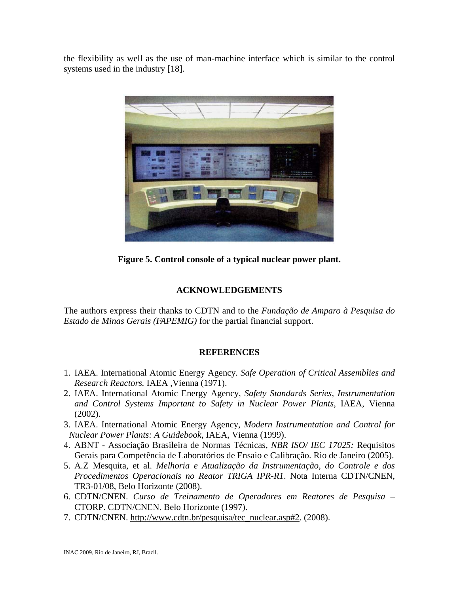the flexibility as well as the use of man-machine interface which is similar to the control systems used in the industry [18].



**Figure 5. Control console of a typical nuclear power plant.** 

## **ACKNOWLEDGEMENTS**

The authors express their thanks to CDTN and to the *Fundação de Amparo à Pesquisa do Estado de Minas Gerais (FAPEMIG)* for the partial financial support.

#### **REFERENCES**

- 1. IAEA. International Atomic Energy Agency*. Safe Operation of Critical Assemblies and Research Reactors.* IAEA ,Vienna (1971).
- 2. IAEA. International Atomic Energy Agency, *Safety Standards Series, Instrumentation and Control Systems Important to Safety in Nuclear Power Plants*, IAEA, Vienna (2002).
- 3. IAEA. International Atomic Energy Agency, *Modern Instrumentation and Control for Nuclear Power Plants: A Guidebook*, IAEA, Vienna (1999).
- 4. ABNT Associação Brasileira de Normas Técnicas, *NBR ISO/ IEC 17025:* Requisitos Gerais para Competência de Laboratórios de Ensaio e Calibração. Rio de Janeiro (2005).
- 5. A.Z Mesquita, et al. *Melhoria e Atualização da Instrumentação, do Controle e dos Procedimentos Operacionais no Reator TRIGA IPR-R1*. Nota Interna CDTN/CNEN, TR3-01/08, Belo Horizonte (2008).
- 6. CDTN/CNEN. *Curso de Treinamento de Operadores em Reatores de Pesquisa*  CTORP. CDTN/CNEN. Belo Horizonte (1997).
- 7. CDTN/CNEN. [http://www.cdtn.br/pesquisa/tec\\_nuclear.asp#2.](http://www.cdtn.br/pesquisa/tec_nuclear.asp#2) (2008).